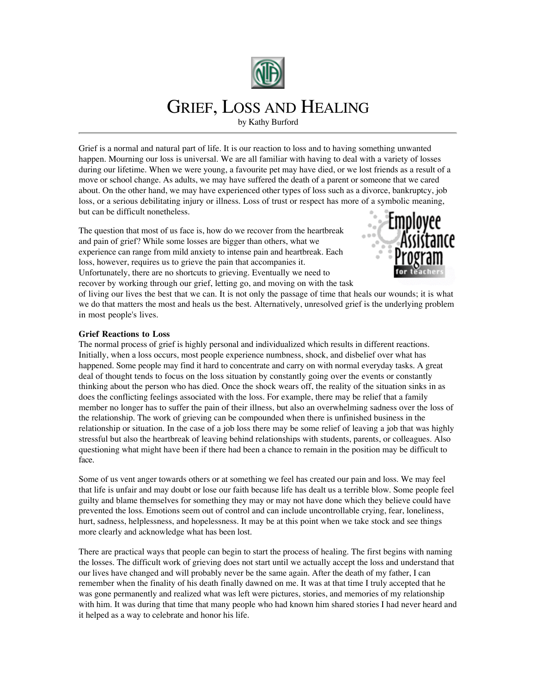

## GRIEF, LOSS AND HEALING

by Kathy Burford

Grief is a normal and natural part of life. It is our reaction to loss and to having something unwanted happen. Mourning our loss is universal. We are all familiar with having to deal with a variety of losses during our lifetime. When we were young, a favourite pet may have died, or we lost friends as a result of a move or school change. As adults, we may have suffered the death of a parent or someone that we cared about. On the other hand, we may have experienced other types of loss such as a divorce, bankruptcy, job loss, or a serious debilitating injury or illness. Loss of trust or respect has more of a symbolic meaning, but can be difficult nonetheless.

The question that most of us face is, how do we recover from the heartbreak and pain of grief? While some losses are bigger than others, what we experience can range from mild anxiety to intense pain and heartbreak. Each loss, however, requires us to grieve the pain that accompanies it. Unfortunately, there are no shortcuts to grieving. Eventually we need to



recover by working through our grief, letting go, and moving on with the task

of living our lives the best that we can. It is not only the passage of time that heals our wounds; it is what we do that matters the most and heals us the best. Alternatively, unresolved grief is the underlying problem in most people's lives.

## **Grief Reactions to Loss**

The normal process of grief is highly personal and individualized which results in different reactions. Initially, when a loss occurs, most people experience numbness, shock, and disbelief over what has happened. Some people may find it hard to concentrate and carry on with normal everyday tasks. A great deal of thought tends to focus on the loss situation by constantly going over the events or constantly thinking about the person who has died. Once the shock wears off, the reality of the situation sinks in as does the conflicting feelings associated with the loss. For example, there may be relief that a family member no longer has to suffer the pain of their illness, but also an overwhelming sadness over the loss of the relationship. The work of grieving can be compounded when there is unfinished business in the relationship or situation. In the case of a job loss there may be some relief of leaving a job that was highly stressful but also the heartbreak of leaving behind relationships with students, parents, or colleagues. Also questioning what might have been if there had been a chance to remain in the position may be difficult to face.

Some of us vent anger towards others or at something we feel has created our pain and loss. We may feel that life is unfair and may doubt or lose our faith because life has dealt us a terrible blow. Some people feel guilty and blame themselves for something they may or may not have done which they believe could have prevented the loss. Emotions seem out of control and can include uncontrollable crying, fear, loneliness, hurt, sadness, helplessness, and hopelessness. It may be at this point when we take stock and see things more clearly and acknowledge what has been lost.

There are practical ways that people can begin to start the process of healing. The first begins with naming the losses. The difficult work of grieving does not start until we actually accept the loss and understand that our lives have changed and will probably never be the same again. After the death of my father, I can remember when the finality of his death finally dawned on me. It was at that time I truly accepted that he was gone permanently and realized what was left were pictures, stories, and memories of my relationship with him. It was during that time that many people who had known him shared stories I had never heard and it helped as a way to celebrate and honor his life.